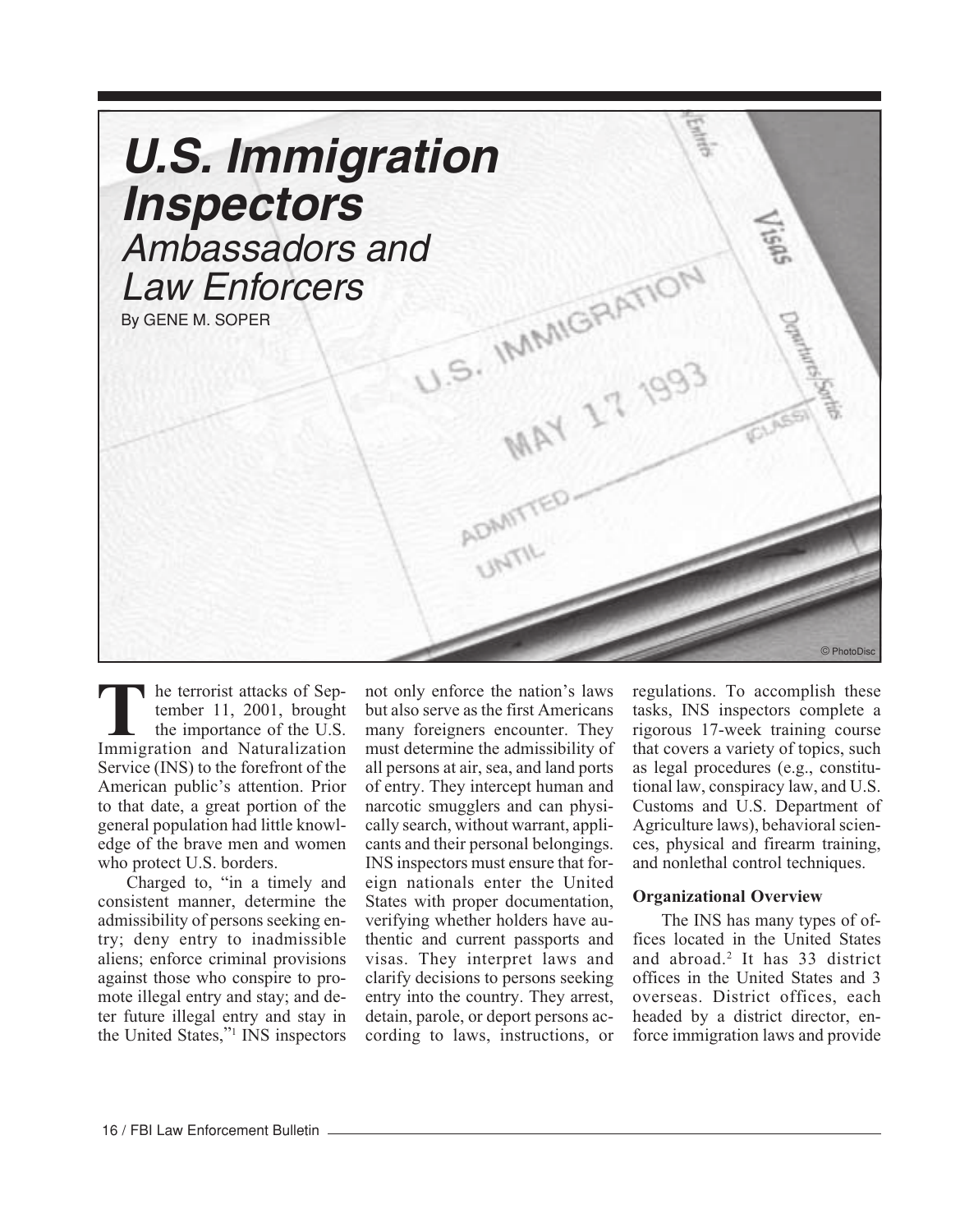

he terrorist attacks of September 11, 2001, brought the importance of the U.S. **T**Interversit attacks of September 11, 2001, brought<br>
the importance of the U.S.<br>
Immigration and Naturalization Service (INS) to the forefront of the American public's attention. Prior to that date, a great portion of the general population had little knowledge of the brave men and women who protect U.S. borders.

Charged to, "in a timely and consistent manner, determine the admissibility of persons seeking entry; deny entry to inadmissible aliens; enforce criminal provisions against those who conspire to promote illegal entry and stay; and deter future illegal entry and stay in the United States,"1 INS inspectors

not only enforce the nation's laws but also serve as the first Americans many foreigners encounter. They must determine the admissibility of all persons at air, sea, and land ports of entry. They intercept human and narcotic smugglers and can physically search, without warrant, applicants and their personal belongings. INS inspectors must ensure that foreign nationals enter the United States with proper documentation, verifying whether holders have authentic and current passports and visas. They interpret laws and clarify decisions to persons seeking entry into the country. They arrest, detain, parole, or deport persons according to laws, instructions, or

regulations. To accomplish these tasks, INS inspectors complete a rigorous 17-week training course that covers a variety of topics, such as legal procedures (e.g., constitutional law, conspiracy law, and U.S. Customs and U.S. Department of Agriculture laws), behavioral sciences, physical and firearm training, and nonlethal control techniques.

#### **Organizational Overview**

The INS has many types of offices located in the United States and abroad.2 It has 33 district offices in the United States and 3 overseas. District offices, each headed by a district director, enforce immigration laws and provide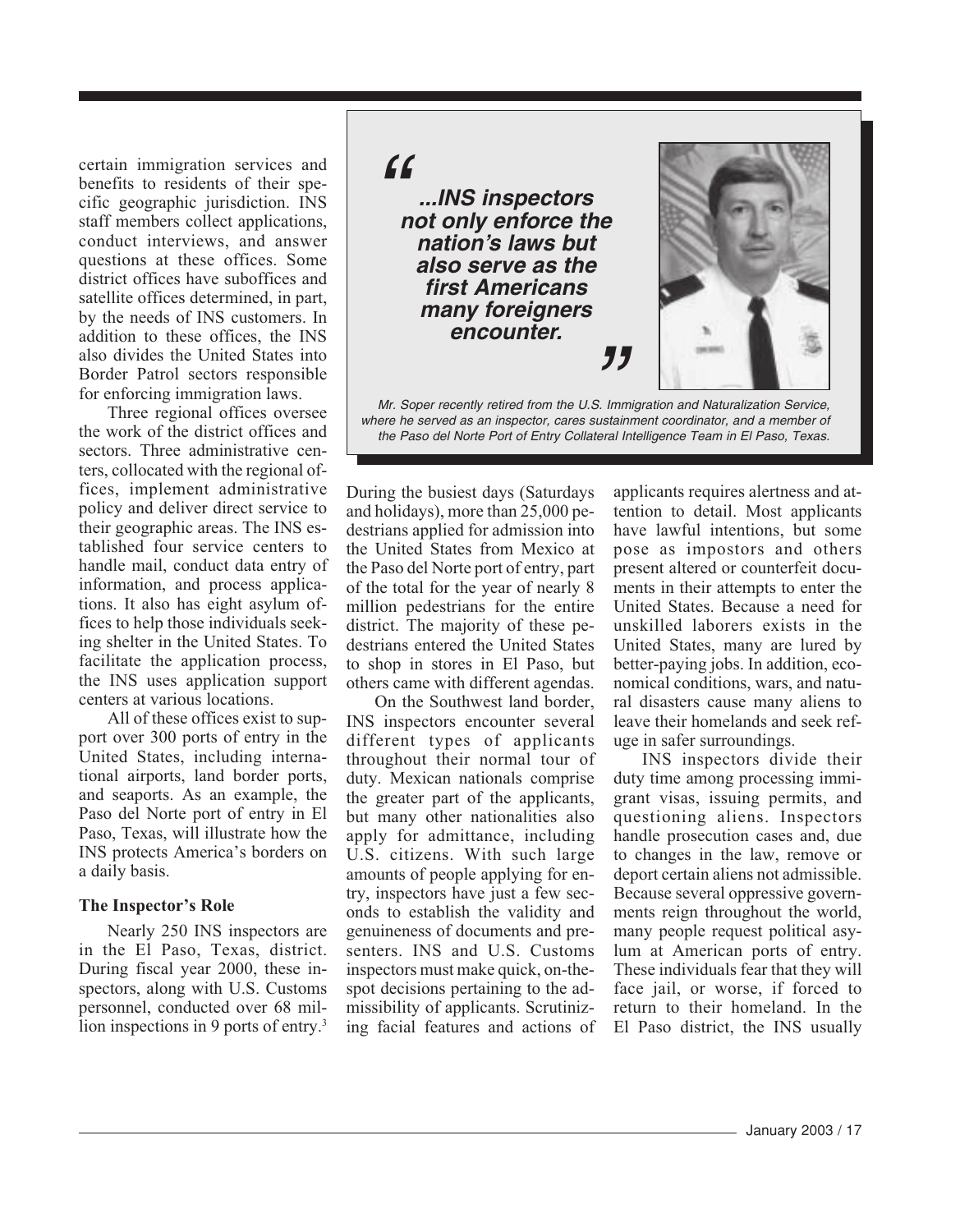certain immigration services and benefits to residents of their specific geographic jurisdiction. INS staff members collect applications, conduct interviews, and answer questions at these offices. Some district offices have suboffices and satellite offices determined, in part, by the needs of INS customers. In addition to these offices, the INS also divides the United States into Border Patrol sectors responsible for enforcing immigration laws.

Three regional offices oversee the work of the district offices and sectors. Three administrative centers, collocated with the regional offices, implement administrative policy and deliver direct service to their geographic areas. The INS established four service centers to handle mail, conduct data entry of information, and process applications. It also has eight asylum offices to help those individuals seeking shelter in the United States. To facilitate the application process, the INS uses application support centers at various locations.

All of these offices exist to support over 300 ports of entry in the United States, including international airports, land border ports, and seaports. As an example, the Paso del Norte port of entry in El Paso, Texas, will illustrate how the INS protects America's borders on a daily basis.

#### **The Inspector's Role**

Nearly 250 INS inspectors are in the El Paso, Texas, district. During fiscal year 2000, these inspectors, along with U.S. Customs personnel, conducted over 68 million inspections in 9 ports of entry.<sup>3</sup>

 $f$ 

" **...INS inspectors not only enforce the nation's laws but also serve as the first Americans many foreigners encounter.**



 where he served as an inspector, cares sustainment coordinator, and a member of Mr. Soper recently retired from the U.S. Immigration and Naturalization Service, the Paso del Norte Port of Entry Collateral Intelligence Team in El Paso, Texas.

During the busiest days (Saturdays and holidays), more than 25,000 pedestrians applied for admission into the United States from Mexico at the Paso del Norte port of entry, part of the total for the year of nearly 8 million pedestrians for the entire district. The majority of these pedestrians entered the United States to shop in stores in El Paso, but others came with different agendas.

On the Southwest land border, INS inspectors encounter several different types of applicants throughout their normal tour of duty. Mexican nationals comprise the greater part of the applicants, but many other nationalities also apply for admittance, including U.S. citizens. With such large amounts of people applying for entry, inspectors have just a few seconds to establish the validity and genuineness of documents and presenters. INS and U.S. Customs inspectors must make quick, on-thespot decisions pertaining to the admissibility of applicants. Scrutinizing facial features and actions of

applicants requires alertness and attention to detail. Most applicants have lawful intentions, but some pose as impostors and others present altered or counterfeit documents in their attempts to enter the United States. Because a need for unskilled laborers exists in the United States, many are lured by better-paying jobs. In addition, economical conditions, wars, and natural disasters cause many aliens to leave their homelands and seek refuge in safer surroundings.

INS inspectors divide their duty time among processing immigrant visas, issuing permits, and questioning aliens. Inspectors handle prosecution cases and, due to changes in the law, remove or deport certain aliens not admissible. Because several oppressive governments reign throughout the world, many people request political asylum at American ports of entry. These individuals fear that they will face jail, or worse, if forced to return to their homeland. In the El Paso district, the INS usually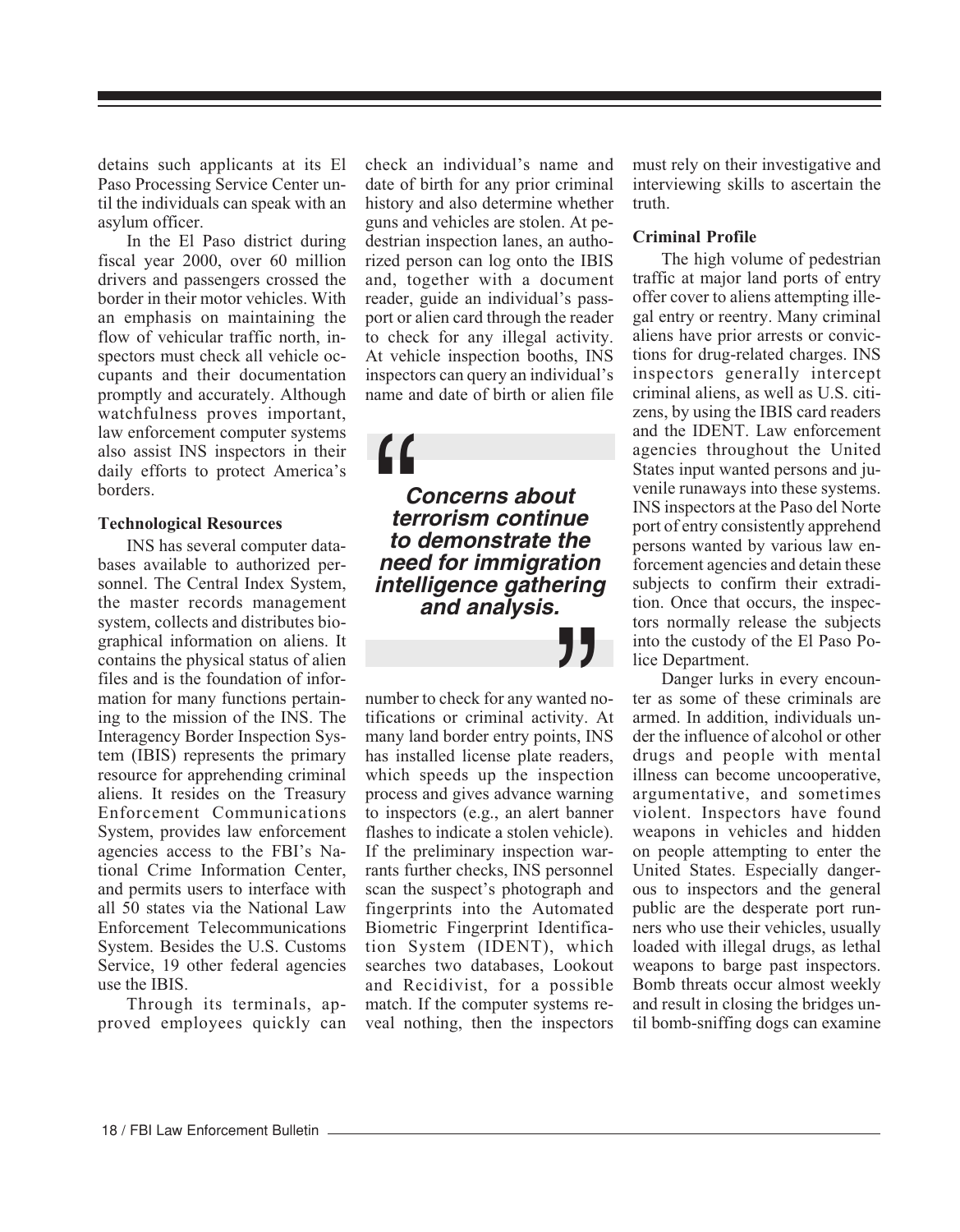detains such applicants at its El Paso Processing Service Center until the individuals can speak with an asylum officer.

In the El Paso district during fiscal year 2000, over 60 million drivers and passengers crossed the border in their motor vehicles. With an emphasis on maintaining the flow of vehicular traffic north, inspectors must check all vehicle occupants and their documentation promptly and accurately. Although watchfulness proves important, law enforcement computer systems also assist INS inspectors in their daily efforts to protect America's borders.

#### **Technological Resources**

INS has several computer databases available to authorized personnel. The Central Index System, the master records management system, collects and distributes biographical information on aliens. It contains the physical status of alien files and is the foundation of information for many functions pertaining to the mission of the INS. The Interagency Border Inspection System (IBIS) represents the primary resource for apprehending criminal aliens. It resides on the Treasury Enforcement Communications System, provides law enforcement agencies access to the FBI's National Crime Information Center, and permits users to interface with all 50 states via the National Law Enforcement Telecommunications System. Besides the U.S. Customs Service, 19 other federal agencies use the IBIS.

Through its terminals, approved employees quickly can check an individual's name and date of birth for any prior criminal history and also determine whether guns and vehicles are stolen. At pedestrian inspection lanes, an authorized person can log onto the IBIS and, together with a document reader, guide an individual's passport or alien card through the reader to check for any illegal activity. At vehicle inspection booths, INS inspectors can query an individual's name and date of birth or alien file

**Concerns about terrorism continue to demonstrate the net all of the Concerns about<br>
terrorism continue**<br>
to demonstrate the<br>
need for immigration **intelligence gathering and analysis.**

number to check for any wanted notifications or criminal activity. At many land border entry points, INS has installed license plate readers, which speeds up the inspection process and gives advance warning to inspectors (e.g., an alert banner flashes to indicate a stolen vehicle). If the preliminary inspection warrants further checks, INS personnel scan the suspect's photograph and fingerprints into the Automated Biometric Fingerprint Identification System (IDENT), which searches two databases, Lookout and Recidivist, for a possible match. If the computer systems reveal nothing, then the inspectors  $\sum_{\text{nted n}}$ <br>wity.<br>nts, IN<br>reader

must rely on their investigative and interviewing skills to ascertain the truth.

## **Criminal Profile**

The high volume of pedestrian traffic at major land ports of entry offer cover to aliens attempting illegal entry or reentry. Many criminal aliens have prior arrests or convictions for drug-related charges. INS inspectors generally intercept criminal aliens, as well as U.S. citizens, by using the IBIS card readers and the IDENT. Law enforcement agencies throughout the United States input wanted persons and juvenile runaways into these systems. INS inspectors at the Paso del Norte port of entry consistently apprehend persons wanted by various law enforcement agencies and detain these subjects to confirm their extradition. Once that occurs, the inspectors normally release the subjects into the custody of the El Paso Police Department.

Danger lurks in every encounter as some of these criminals are armed. In addition, individuals under the influence of alcohol or other drugs and people with mental illness can become uncooperative, argumentative, and sometimes violent. Inspectors have found weapons in vehicles and hidden on people attempting to enter the United States. Especially dangerous to inspectors and the general public are the desperate port runners who use their vehicles, usually loaded with illegal drugs, as lethal weapons to barge past inspectors. Bomb threats occur almost weekly and result in closing the bridges until bomb-sniffing dogs can examine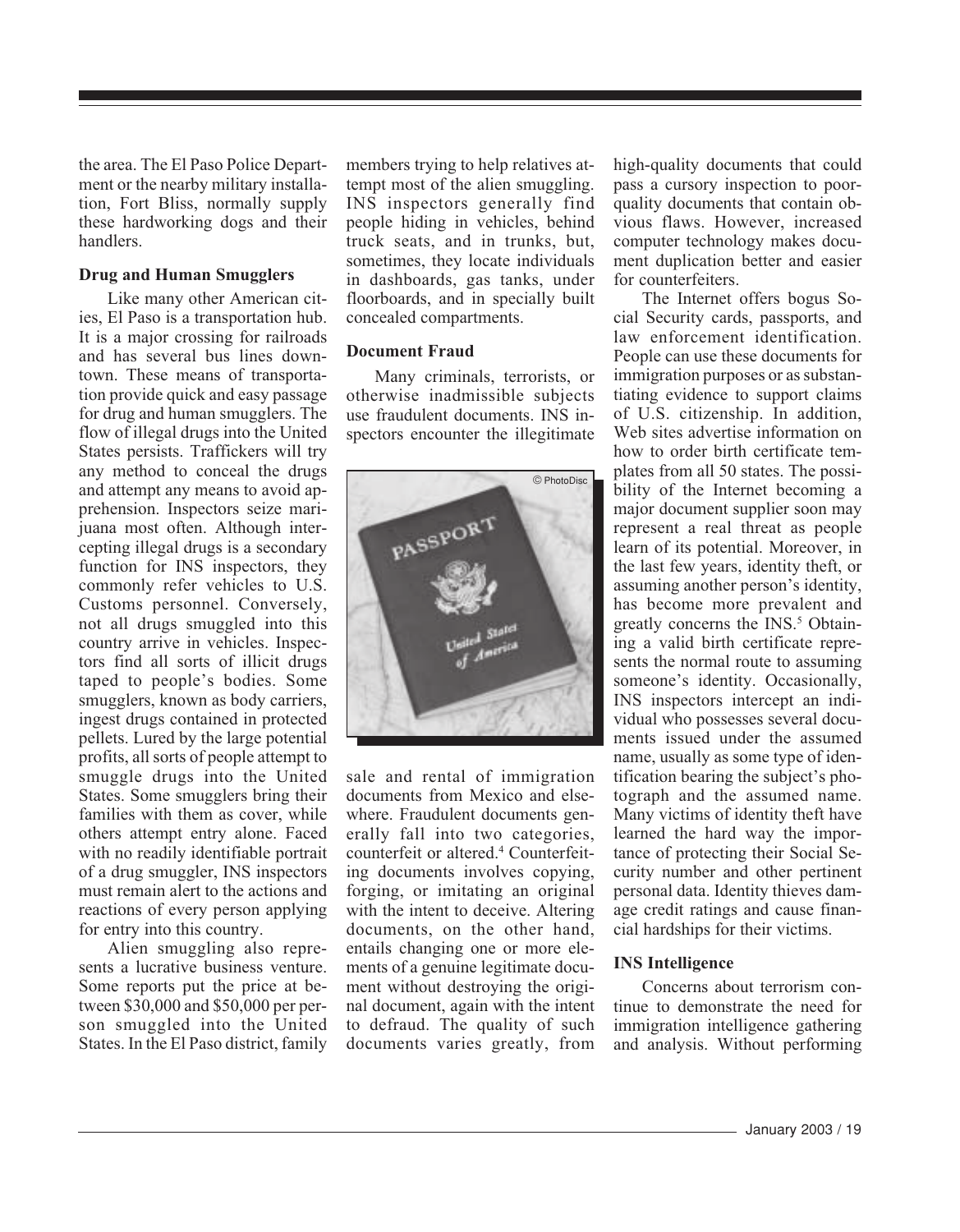the area. The El Paso Police Department or the nearby military installation, Fort Bliss, normally supply these hardworking dogs and their handlers.

#### **Drug and Human Smugglers**

Like many other American cities, El Paso is a transportation hub. It is a major crossing for railroads and has several bus lines downtown. These means of transportation provide quick and easy passage for drug and human smugglers. The flow of illegal drugs into the United States persists. Traffickers will try any method to conceal the drugs and attempt any means to avoid apprehension. Inspectors seize marijuana most often. Although intercepting illegal drugs is a secondary function for INS inspectors, they commonly refer vehicles to U.S. Customs personnel. Conversely, not all drugs smuggled into this country arrive in vehicles. Inspectors find all sorts of illicit drugs taped to people's bodies. Some smugglers, known as body carriers, ingest drugs contained in protected pellets. Lured by the large potential profits, all sorts of people attempt to smuggle drugs into the United States. Some smugglers bring their families with them as cover, while others attempt entry alone. Faced with no readily identifiable portrait of a drug smuggler, INS inspectors must remain alert to the actions and reactions of every person applying for entry into this country.

Alien smuggling also represents a lucrative business venture. Some reports put the price at between \$30,000 and \$50,000 per person smuggled into the United States. In the El Paso district, family members trying to help relatives attempt most of the alien smuggling. INS inspectors generally find people hiding in vehicles, behind truck seats, and in trunks, but, sometimes, they locate individuals in dashboards, gas tanks, under floorboards, and in specially built concealed compartments.

## **Document Fraud**

Many criminals, terrorists, or otherwise inadmissible subjects use fraudulent documents. INS inspectors encounter the illegitimate



sale and rental of immigration documents from Mexico and elsewhere. Fraudulent documents generally fall into two categories, counterfeit or altered.4 Counterfeiting documents involves copying, forging, or imitating an original with the intent to deceive. Altering documents, on the other hand, entails changing one or more elements of a genuine legitimate document without destroying the original document, again with the intent to defraud. The quality of such documents varies greatly, from

high-quality documents that could pass a cursory inspection to poorquality documents that contain obvious flaws. However, increased computer technology makes document duplication better and easier for counterfeiters.

The Internet offers bogus Social Security cards, passports, and law enforcement identification. People can use these documents for immigration purposes or as substantiating evidence to support claims of U.S. citizenship. In addition, Web sites advertise information on how to order birth certificate templates from all 50 states. The possibility of the Internet becoming a major document supplier soon may represent a real threat as people learn of its potential. Moreover, in the last few years, identity theft, or assuming another person's identity, has become more prevalent and greatly concerns the INS.<sup>5</sup> Obtaining a valid birth certificate represents the normal route to assuming someone's identity. Occasionally, INS inspectors intercept an individual who possesses several documents issued under the assumed name, usually as some type of identification bearing the subject's photograph and the assumed name. Many victims of identity theft have learned the hard way the importance of protecting their Social Security number and other pertinent personal data. Identity thieves damage credit ratings and cause financial hardships for their victims.

## **INS Intelligence**

Concerns about terrorism continue to demonstrate the need for immigration intelligence gathering and analysis. Without performing